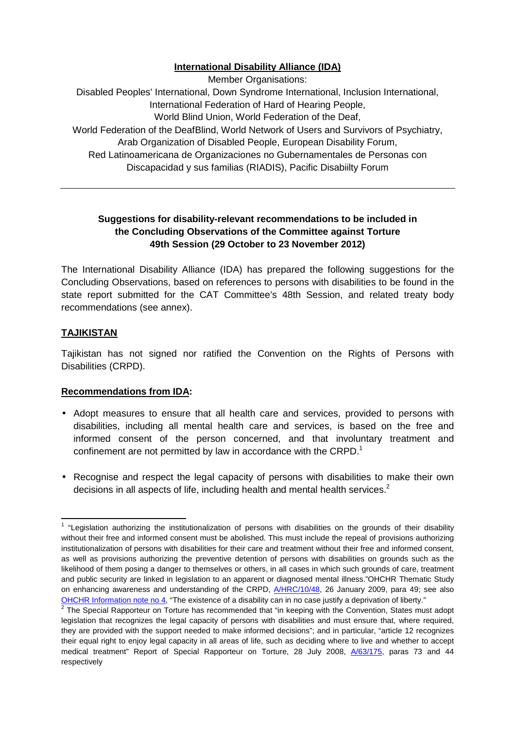## **International Disability Alliance (IDA)**

Member Organisations: Disabled Peoples' International, Down Syndrome International, Inclusion International, International Federation of Hard of Hearing People, World Blind Union, World Federation of the Deaf, World Federation of the DeafBlind, World Network of Users and Survivors of Psychiatry, Arab Organization of Disabled People, European Disability Forum,

Red Latinoamericana de Organizaciones no Gubernamentales de Personas con Discapacidad y sus familias (RIADIS), Pacific Disabiilty Forum

## **Suggestions for disability-relevant recommendations to be included in the Concluding Observations of the Committee against Torture 49th Session (29 October to 23 November 2012)**

The International Disability Alliance (IDA) has prepared the following suggestions for the Concluding Observations, based on references to persons with disabilities to be found in the state report submitted for the CAT Committee's 48th Session, and related treaty body recommendations (see annex).

# **TAJIKISTAN**

 $\overline{a}$ 

Tajikistan has not signed nor ratified the Convention on the Rights of Persons with Disabilities (CRPD).

## **Recommendations from IDA:**

- Adopt measures to ensure that all health care and services, provided to persons with disabilities, including all mental health care and services, is based on the free and informed consent of the person concerned, and that involuntary treatment and confinement are not permitted by law in accordance with the CRPD.<sup>1</sup>
- Recognise and respect the legal capacity of persons with disabilities to make their own decisions in all aspects of life, including health and mental health services.<sup>2</sup>

 $1$  "Legislation authorizing the institutionalization of persons with disabilities on the grounds of their disability without their free and informed consent must be abolished. This must include the repeal of provisions authorizing institutionalization of persons with disabilities for their care and treatment without their free and informed consent, as well as provisions authorizing the preventive detention of persons with disabilities on grounds such as the likelihood of them posing a danger to themselves or others, in all cases in which such grounds of care, treatment and public security are linked in legislation to an apparent or diagnosed mental illness."OHCHR Thematic Study on enhancing awareness and understanding of the CRPD,  $A/HRC/10/48$ , 26 January 2009, para 49; see also OHCHR Information note no 4, "The existence of a disability can in no case justify a deprivation of liberty."

 $2$  The Special Rapporteur on Torture has recommended that "in keeping with the Convention, States must adopt legislation that recognizes the legal capacity of persons with disabilities and must ensure that, where required, they are provided with the support needed to make informed decisions"; and in particular, "article 12 recognizes their equal right to enjoy legal capacity in all areas of life, such as deciding where to live and whether to accept medical treatment" Report of Special Rapporteur on Torture, 28 July 2008, A/63/175, paras 73 and 44 respectively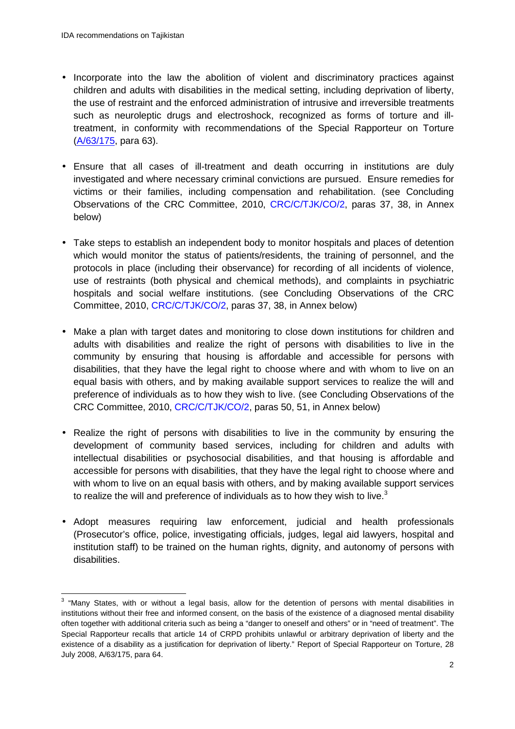$\overline{a}$ 

- Incorporate into the law the abolition of violent and discriminatory practices against children and adults with disabilities in the medical setting, including deprivation of liberty, the use of restraint and the enforced administration of intrusive and irreversible treatments such as neuroleptic drugs and electroshock, recognized as forms of torture and illtreatment, in conformity with recommendations of the Special Rapporteur on Torture (A/63/175, para 63).
- Ensure that all cases of ill-treatment and death occurring in institutions are duly investigated and where necessary criminal convictions are pursued. Ensure remedies for victims or their families, including compensation and rehabilitation. (see Concluding Observations of the CRC Committee, 2010, CRC/C/TJK/CO/2, paras 37, 38, in Annex below)
- Take steps to establish an independent body to monitor hospitals and places of detention which would monitor the status of patients/residents, the training of personnel, and the protocols in place (including their observance) for recording of all incidents of violence, use of restraints (both physical and chemical methods), and complaints in psychiatric hospitals and social welfare institutions. (see Concluding Observations of the CRC Committee, 2010, CRC/C/TJK/CO/2, paras 37, 38, in Annex below)
- Make a plan with target dates and monitoring to close down institutions for children and adults with disabilities and realize the right of persons with disabilities to live in the community by ensuring that housing is affordable and accessible for persons with disabilities, that they have the legal right to choose where and with whom to live on an equal basis with others, and by making available support services to realize the will and preference of individuals as to how they wish to live. (see Concluding Observations of the CRC Committee, 2010, CRC/C/TJK/CO/2, paras 50, 51, in Annex below)
- Realize the right of persons with disabilities to live in the community by ensuring the development of community based services, including for children and adults with intellectual disabilities or psychosocial disabilities, and that housing is affordable and accessible for persons with disabilities, that they have the legal right to choose where and with whom to live on an equal basis with others, and by making available support services to realize the will and preference of individuals as to how they wish to live.<sup>3</sup>
- Adopt measures requiring law enforcement, judicial and health professionals (Prosecutor's office, police, investigating officials, judges, legal aid lawyers, hospital and institution staff) to be trained on the human rights, dignity, and autonomy of persons with disabilities.

 $3$  "Many States, with or without a legal basis, allow for the detention of persons with mental disabilities in institutions without their free and informed consent, on the basis of the existence of a diagnosed mental disability often together with additional criteria such as being a "danger to oneself and others" or in "need of treatment". The Special Rapporteur recalls that article 14 of CRPD prohibits unlawful or arbitrary deprivation of liberty and the existence of a disability as a justification for deprivation of liberty." Report of Special Rapporteur on Torture, 28 July 2008, A/63/175, para 64.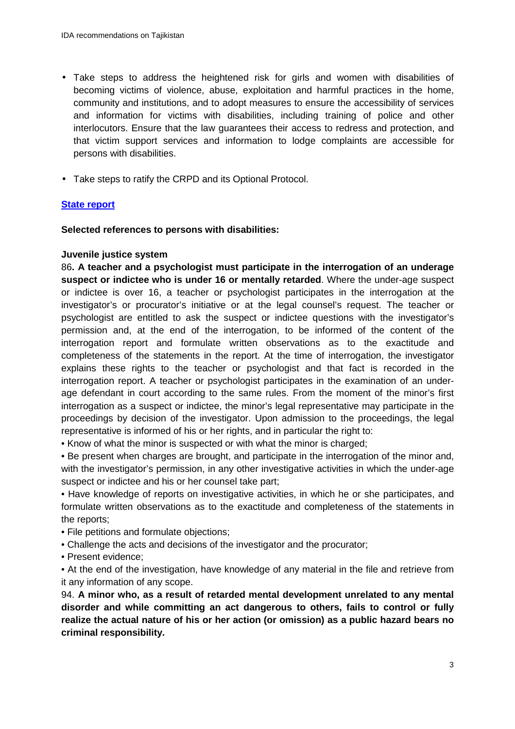- Take steps to address the heightened risk for girls and women with disabilities of becoming victims of violence, abuse, exploitation and harmful practices in the home, community and institutions, and to adopt measures to ensure the accessibility of services and information for victims with disabilities, including training of police and other interlocutors. Ensure that the law guarantees their access to redress and protection, and that victim support services and information to lodge complaints are accessible for persons with disabilities.
- Take steps to ratify the CRPD and its Optional Protocol.

## **State report**

**Selected references to persons with disabilities:** 

#### **Juvenile justice system**

86**. A teacher and a psychologist must participate in the interrogation of an underage suspect or indictee who is under 16 or mentally retarded**. Where the under-age suspect or indictee is over 16, a teacher or psychologist participates in the interrogation at the investigator's or procurator's initiative or at the legal counsel's request. The teacher or psychologist are entitled to ask the suspect or indictee questions with the investigator's permission and, at the end of the interrogation, to be informed of the content of the interrogation report and formulate written observations as to the exactitude and completeness of the statements in the report. At the time of interrogation, the investigator explains these rights to the teacher or psychologist and that fact is recorded in the interrogation report. A teacher or psychologist participates in the examination of an underage defendant in court according to the same rules. From the moment of the minor's first interrogation as a suspect or indictee, the minor's legal representative may participate in the proceedings by decision of the investigator. Upon admission to the proceedings, the legal representative is informed of his or her rights, and in particular the right to:

• Know of what the minor is suspected or with what the minor is charged;

• Be present when charges are brought, and participate in the interrogation of the minor and, with the investigator's permission, in any other investigative activities in which the under-age suspect or indictee and his or her counsel take part;

• Have knowledge of reports on investigative activities, in which he or she participates, and formulate written observations as to the exactitude and completeness of the statements in the reports;

- File petitions and formulate objections;
- Challenge the acts and decisions of the investigator and the procurator;
- Present evidence;

• At the end of the investigation, have knowledge of any material in the file and retrieve from it any information of any scope.

94. **A minor who, as a result of retarded mental development unrelated to any mental disorder and while committing an act dangerous to others, fails to control or fully realize the actual nature of his or her action (or omission) as a public hazard bears no criminal responsibility.**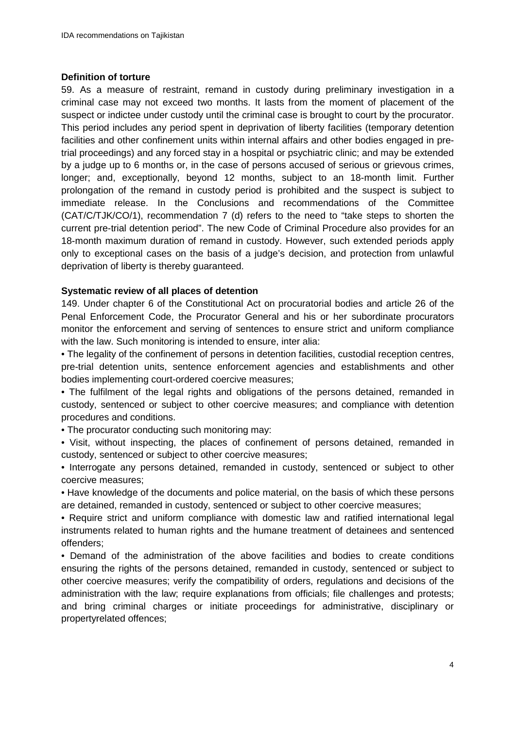#### **Definition of torture**

59. As a measure of restraint, remand in custody during preliminary investigation in a criminal case may not exceed two months. It lasts from the moment of placement of the suspect or indictee under custody until the criminal case is brought to court by the procurator. This period includes any period spent in deprivation of liberty facilities (temporary detention facilities and other confinement units within internal affairs and other bodies engaged in pretrial proceedings) and any forced stay in a hospital or psychiatric clinic; and may be extended by a judge up to 6 months or, in the case of persons accused of serious or grievous crimes, longer; and, exceptionally, beyond 12 months, subject to an 18-month limit. Further prolongation of the remand in custody period is prohibited and the suspect is subject to immediate release. In the Conclusions and recommendations of the Committee (CAT/C/TJK/CO/1), recommendation 7 (d) refers to the need to "take steps to shorten the current pre-trial detention period". The new Code of Criminal Procedure also provides for an 18-month maximum duration of remand in custody. However, such extended periods apply only to exceptional cases on the basis of a judge's decision, and protection from unlawful deprivation of liberty is thereby guaranteed.

#### **Systematic review of all places of detention**

149. Under chapter 6 of the Constitutional Act on procuratorial bodies and article 26 of the Penal Enforcement Code, the Procurator General and his or her subordinate procurators monitor the enforcement and serving of sentences to ensure strict and uniform compliance with the law. Such monitoring is intended to ensure, inter alia:

• The legality of the confinement of persons in detention facilities, custodial reception centres, pre-trial detention units, sentence enforcement agencies and establishments and other bodies implementing court-ordered coercive measures;

• The fulfilment of the legal rights and obligations of the persons detained, remanded in custody, sentenced or subject to other coercive measures; and compliance with detention procedures and conditions.

• The procurator conducting such monitoring may:

• Visit, without inspecting, the places of confinement of persons detained, remanded in custody, sentenced or subject to other coercive measures;

• Interrogate any persons detained, remanded in custody, sentenced or subject to other coercive measures;

• Have knowledge of the documents and police material, on the basis of which these persons are detained, remanded in custody, sentenced or subject to other coercive measures;

• Require strict and uniform compliance with domestic law and ratified international legal instruments related to human rights and the humane treatment of detainees and sentenced offenders;

• Demand of the administration of the above facilities and bodies to create conditions ensuring the rights of the persons detained, remanded in custody, sentenced or subject to other coercive measures; verify the compatibility of orders, regulations and decisions of the administration with the law; require explanations from officials; file challenges and protests; and bring criminal charges or initiate proceedings for administrative, disciplinary or propertyrelated offences;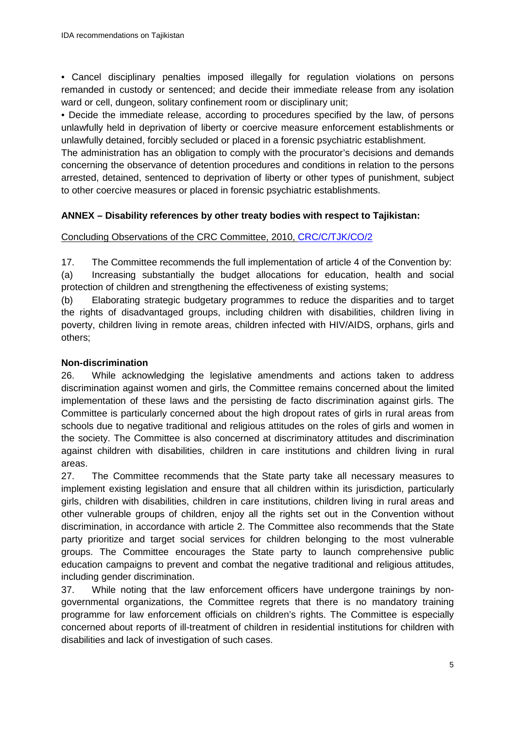• Cancel disciplinary penalties imposed illegally for regulation violations on persons remanded in custody or sentenced; and decide their immediate release from any isolation ward or cell, dungeon, solitary confinement room or disciplinary unit;

• Decide the immediate release, according to procedures specified by the law, of persons unlawfully held in deprivation of liberty or coercive measure enforcement establishments or unlawfully detained, forcibly secluded or placed in a forensic psychiatric establishment.

The administration has an obligation to comply with the procurator's decisions and demands concerning the observance of detention procedures and conditions in relation to the persons arrested, detained, sentenced to deprivation of liberty or other types of punishment, subject to other coercive measures or placed in forensic psychiatric establishments.

### **ANNEX – Disability references by other treaty bodies with respect to Tajikistan:**

#### Concluding Observations of the CRC Committee, 2010, CRC/C/TJK/CO/2

17. The Committee recommends the full implementation of article 4 of the Convention by:

(a) Increasing substantially the budget allocations for education, health and social protection of children and strengthening the effectiveness of existing systems;

(b) Elaborating strategic budgetary programmes to reduce the disparities and to target the rights of disadvantaged groups, including children with disabilities, children living in poverty, children living in remote areas, children infected with HIV/AIDS, orphans, girls and others;

#### **Non-discrimination**

26. While acknowledging the legislative amendments and actions taken to address discrimination against women and girls, the Committee remains concerned about the limited implementation of these laws and the persisting de facto discrimination against girls. The Committee is particularly concerned about the high dropout rates of girls in rural areas from schools due to negative traditional and religious attitudes on the roles of girls and women in the society. The Committee is also concerned at discriminatory attitudes and discrimination against children with disabilities, children in care institutions and children living in rural areas.

27. The Committee recommends that the State party take all necessary measures to implement existing legislation and ensure that all children within its jurisdiction, particularly girls, children with disabilities, children in care institutions, children living in rural areas and other vulnerable groups of children, enjoy all the rights set out in the Convention without discrimination, in accordance with article 2. The Committee also recommends that the State party prioritize and target social services for children belonging to the most vulnerable groups. The Committee encourages the State party to launch comprehensive public education campaigns to prevent and combat the negative traditional and religious attitudes, including gender discrimination.

37. While noting that the law enforcement officers have undergone trainings by nongovernmental organizations, the Committee regrets that there is no mandatory training programme for law enforcement officials on children's rights. The Committee is especially concerned about reports of ill-treatment of children in residential institutions for children with disabilities and lack of investigation of such cases.